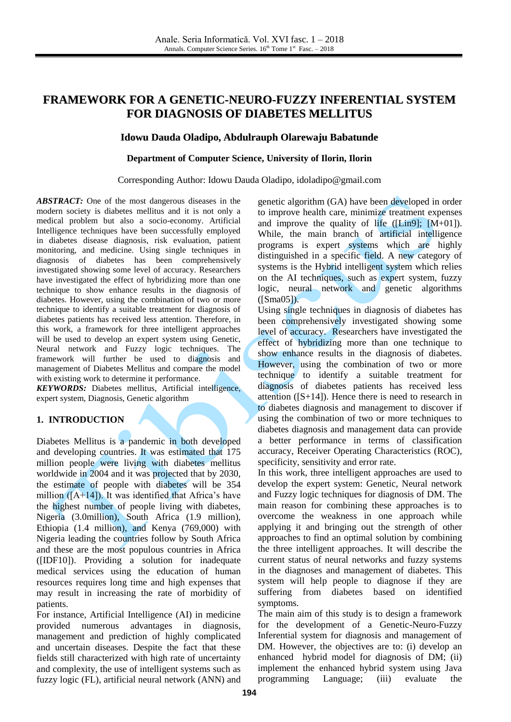# **FRAMEWORK FOR A GENETIC-NEURO-FUZZY INFERENTIAL SYSTEM FOR DIAGNOSIS OF DIABETES MELLITUS**

# **Idowu Dauda Oladipo, Abdulrauph Olarewaju Babatunde**

### **Department of Computer Science, University of Ilorin, Ilorin**

#### Corresponding Author: Idowu Dauda Oladipo, [idoladipo@gmail.com](mailto:idoladipo@gmail.com)

*ABSTRACT:* One of the most dangerous diseases in the modern society is diabetes mellitus and it is not only a medical problem but also a socio-economy. Artificial Intelligence techniques have been successfully employed in diabetes disease diagnosis, risk evaluation, patient monitoring, and medicine. Using single techniques in diagnosis of diabetes has been comprehensively investigated showing some level of accuracy. Researchers have investigated the effect of hybridizing more than one technique to show enhance results in the diagnosis of diabetes. However, using the combination of two or more technique to identify a suitable treatment for diagnosis of diabetes patients has received less attention. Therefore, in this work, a framework for three intelligent approaches will be used to develop an expert system using Genetic, Neural network and Fuzzy logic techniques. The framework will further be used to diagnosis and management of Diabetes Mellitus and compare the model with existing work to determine it performance.

*KEYWORDS:* Diabetes mellitus, Artificial intelligence, expert system, Diagnosis, Genetic algorithm

# **1. INTRODUCTION**

Diabetes Mellitus is a pandemic in both developed and developing countries. It was estimated that 175 million people were living with diabetes mellitus worldwide in 2004 and it was projected that by 2030, the estimate of people with diabetes will be 354 million  $([A+14])$ . It was identified that Africa's have the highest number of people living with diabetes, Nigeria (3.0million), South Africa (1.9 million), Ethiopia (1.4 million), and Kenya (769,000) with Nigeria leading the countries follow by South Africa and these are the most populous countries in Africa ([IDF10]). Providing a solution for inadequate medical services using the education of human resources requires long time and high expenses that may result in increasing the rate of morbidity of patients.

For instance, Artificial Intelligence (AI) in medicine provided numerous advantages in diagnosis, management and prediction of highly complicated and uncertain diseases. Despite the fact that these fields still characterized with high rate of uncertainty and complexity, the use of intelligent systems such as fuzzy logic (FL), artificial neural network (ANN) and

genetic algorithm (GA) have been developed in order to improve health care, minimize treatment expenses and improve the quality of life ( $[Lin9]$ ;  $[M+01]$ ). While, the main branch of artificial intelligence programs is expert systems which are highly distinguished in a specific field. A new category of systems is the Hybrid intelligent system which relies on the AI techniques, such as expert system, fuzzy logic, neural network and genetic algorithms ([Sma05]).

Using single techniques in diagnosis of diabetes has been comprehensively investigated showing some level of accuracy. Researchers have investigated the effect of hybridizing more than one technique to show enhance results in the diagnosis of diabetes. However, using the combination of two or more technique to identify a suitable treatment for diagnosis of diabetes patients has received less attention  $([S+14])$ . Hence there is need to research in to diabetes diagnosis and management to discover if using the combination of two or more techniques to diabetes diagnosis and management data can provide a better performance in terms of classification accuracy, Receiver Operating Characteristics (ROC), specificity, sensitivity and error rate.

In this work, three intelligent approaches are used to develop the expert system: Genetic, Neural network and Fuzzy logic techniques for diagnosis of DM. The main reason for combining these approaches is to overcome the weakness in one approach while applying it and bringing out the strength of other approaches to find an optimal solution by combining the three intelligent approaches. It will describe the current status of neural networks and fuzzy systems in the diagnoses and management of diabetes. This system will help people to diagnose if they are suffering from diabetes based on identified symptoms.

The main aim of this study is to design a framework for the development of a Genetic-Neuro-Fuzzy Inferential system for diagnosis and management of DM. However, the objectives are to: (i) develop an enhanced hybrid model for diagnosis of DM; (ii) implement the enhanced hybrid system using Java programming Language; (iii) evaluate the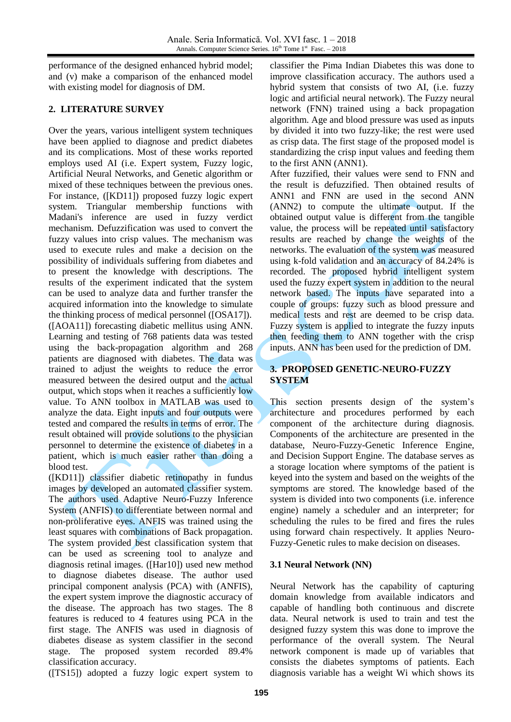performance of the designed enhanced hybrid model; and (v) make a comparison of the enhanced model with existing model for diagnosis of DM.

# **2. LITERATURE SURVEY**

Over the years, various intelligent system techniques have been applied to diagnose and predict diabetes and its complications. Most of these works reported employs used AI (i.e. Expert system, Fuzzy logic, Artificial Neural Networks, and Genetic algorithm or mixed of these techniques between the previous ones. For instance, ([KD11]) proposed fuzzy logic expert system. Triangular membership functions with Madani's inference are used in fuzzy verdict mechanism. Defuzzification was used to convert the fuzzy values into crisp values. The mechanism was used to execute rules and make a decision on the possibility of individuals suffering from diabetes and to present the knowledge with descriptions. The results of the experiment indicated that the system can be used to analyze data and further transfer the acquired information into the knowledge to simulate the thinking process of medical personnel ([OSA17]). ([AOA11]) forecasting diabetic mellitus using ANN. Learning and testing of 768 patients data was tested using the back-propagation algorithm and 268 patients are diagnosed with diabetes. The data was trained to adjust the weights to reduce the error measured between the desired output and the actual output, which stops when it reaches a sufficiently low value. To ANN toolbox in MATLAB was used to analyze the data. Eight inputs and four outputs were tested and compared the results in terms of error. The result obtained will provide solutions to the physician personnel to determine the existence of diabetes in a patient, which is much easier rather than doing a blood test.

([KD11]) classifier diabetic retinopathy in fundus images by developed an automated classifier system. The authors used Adaptive Neuro-Fuzzy Inference System (ANFIS) to differentiate between normal and non-proliferative eyes. ANFIS was trained using the least squares with combinations of Back propagation. The system provided best classification system that can be used as screening tool to analyze and diagnosis retinal images. ([Har10]) used new method to diagnose diabetes disease. The author used principal component analysis (PCA) with (ANFIS), the expert system improve the diagnostic accuracy of the disease. The approach has two stages. The 8 features is reduced to 4 features using PCA in the first stage. The ANFIS was used in diagnosis of diabetes disease as system classifier in the second stage. The proposed system recorded 89.4% classification accuracy.

([TS15]) adopted a fuzzy logic expert system to

classifier the Pima Indian Diabetes this was done to improve classification accuracy. The authors used a hybrid system that consists of two AI, (i.e. fuzzy logic and artificial neural network). The Fuzzy neural network (FNN) trained using a back propagation algorithm. Age and blood pressure was used as inputs by divided it into two fuzzy-like; the rest were used as crisp data. The first stage of the proposed model is standardizing the crisp input values and feeding them to the first ANN (ANN1).

After fuzzified, their values were send to FNN and the result is defuzzified. Then obtained results of ANN1 and FNN are used in the second ANN (ANN2) to compute the ultimate output. If the obtained output value is different from the tangible value, the process will be repeated until satisfactory results are reached by change the weights of the networks. The evaluation of the system was measured using k-fold validation and an accuracy of 84.24% is recorded. The proposed hybrid intelligent system used the fuzzy expert system in addition to the neural network based. The inputs have separated into a couple of groups: fuzzy such as blood pressure and medical tests and rest are deemed to be crisp data. Fuzzy system is applied to integrate the fuzzy inputs then feeding them to ANN together with the crisp inputs. ANN has been used for the prediction of DM.

# **3. PROPOSED GENETIC-NEURO-FUZZY SYSTEM**

This section presents design of the system's architecture and procedures performed by each component of the architecture during diagnosis. Components of the architecture are presented in the database, Neuro-Fuzzy-Genetic Inference Engine, and Decision Support Engine. The database serves as a storage location where symptoms of the patient is keyed into the system and based on the weights of the symptoms are stored. The knowledge based of the system is divided into two components (i.e. inference engine) namely a scheduler and an interpreter; for scheduling the rules to be fired and fires the rules using forward chain respectively. It applies Neuro-Fuzzy-Genetic rules to make decision on diseases.

# **3.1 Neural Network (NN)**

Neural Network has the capability of capturing domain knowledge from available indicators and capable of handling both continuous and discrete data. Neural network is used to train and test the designed fuzzy system this was done to improve the performance of the overall system. The Neural network component is made up of variables that consists the diabetes symptoms of patients. Each diagnosis variable has a weight Wi which shows its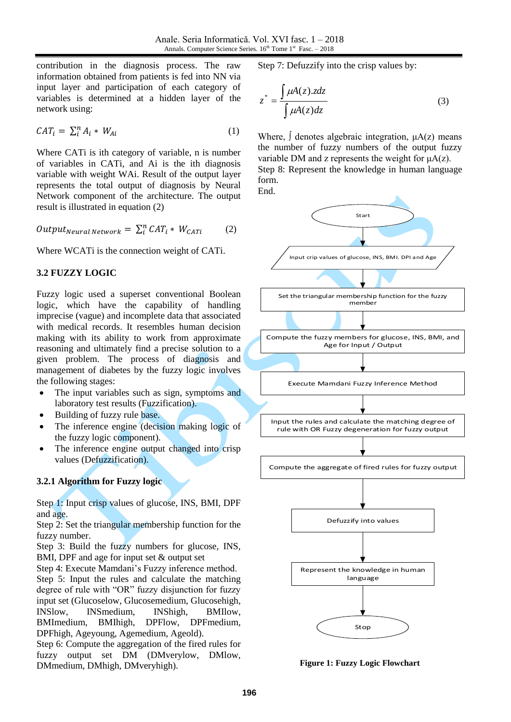contribution in the diagnosis process. The raw information obtained from patients is fed into NN via input layer and participation of each category of variables is determined at a hidden layer of the network using:

$$
CAT_i = \sum_{i}^{n} A_i * W_{Ai}
$$
 (1)

Where CATi is ith category of variable, n is number of variables in CATi, and Ai is the ith diagnosis variable with weight WAi. Result of the output layer represents the total output of diagnosis by Neural Network component of the architecture. The output result is illustrated in equation (2)

$$
Output_{Neural Network} = \sum_{i}^{n} CAT_i * W_{CATi} \tag{2}
$$

Where WCATi is the connection weight of CATi.

# **3.2 FUZZY LOGIC**

Fuzzy logic used a superset conventional Boolean logic, which have the capability of handling imprecise (vague) and incomplete data that associated with medical records. It resembles human decision making with its ability to work from approximate reasoning and ultimately find a precise solution to a given problem. The process of diagnosis and management of diabetes by the fuzzy logic involves the following stages:

- The input variables such as sign, symptoms and laboratory test results (Fuzzification).
- Building of fuzzy rule base.
- The inference engine (decision making logic of the fuzzy logic component).
- The inference engine output changed into crisp values (Defuzzification).

# **3.2.1 Algorithm for Fuzzy logic**

Step 1: Input crisp values of glucose, INS, BMI, DPF and age.

Step 2: Set the triangular membership function for the fuzzy number.

Step 3: Build the fuzzy numbers for glucose, INS, BMI, DPF and age for input set & output set

Step 4: Execute Mamdani's Fuzzy inference method. Step 5: Input the rules and calculate the matching degree of rule with "OR" fuzzy disjunction for fuzzy input set (Glucoselow, Glucosemedium, Glucosehigh, INSlow, INSmedium, INShigh, BMIlow, BMImedium, BMIhigh, DPFlow, DPFmedium, DPFhigh, Ageyoung, Agemedium, Ageold).

Step 6: Compute the aggregation of the fired rules for fuzzy output set DM (DMverylow, DMlow, DMmedium, DMhigh, DMveryhigh).

Step 7: Defuzzify into the crisp values by:

$$
z^* = \frac{\int \mu A(z).z dz}{\int \mu A(z) dz}
$$
 (3)

Where,  $\int$  denotes algebraic integration,  $\mu A(z)$  means the number of fuzzy numbers of the output fuzzy variable DM and z represents the weight for  $\mu A(z)$ . Step 8: Represent the knowledge in human language form.

End.

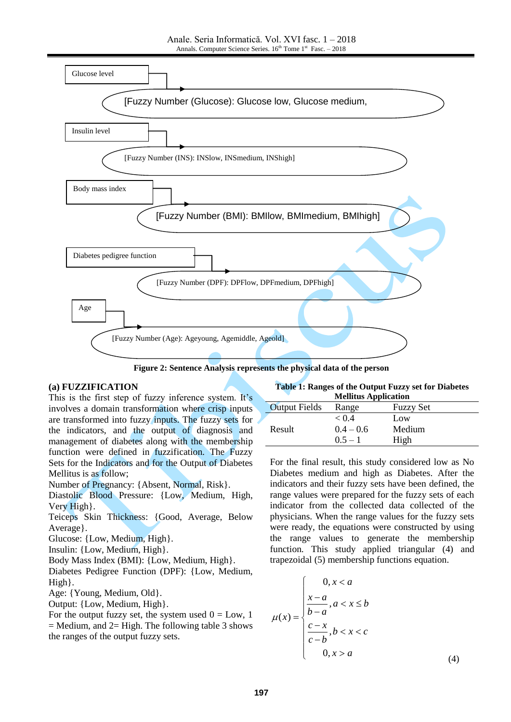

**Figure 2: Sentence Analysis represents the physical data of the person**

### **(a) FUZZIFICATION**

This is the first step of fuzzy inference system. It's involves a domain transformation where crisp inputs are transformed into fuzzy inputs. The fuzzy sets for the indicators, and the output of diagnosis and management of diabetes along with the membership function were defined in fuzzification. The Fuzzy Sets for the Indicators and for the Output of Diabetes Mellitus is as follow;

Number of Pregnancy: {Absent, Normal, Risk}.

Diastolic Blood Pressure: {Low, Medium, High, Very High}.

Teiceps Skin Thickness: {Good, Average, Below Average}.

Glucose: {Low, Medium, High}.

Insulin: {Low, Medium, High}.

Body Mass Index (BMI): {Low, Medium, High}.

Diabetes Pedigree Function (DPF): {Low, Medium, High}.

Age: {Young, Medium, Old}.

Output: {Low, Medium, High}.

For the output fuzzy set, the system used  $0 = Low, 1$  $=$  Medium, and 2 $=$  High. The following table 3 shows the ranges of the output fuzzy sets.

**Table 1: Ranges of the Output Fuzzy set for Diabetes Mellitus Application**

| <i><b>Experience</b></i> <b>Exploration</b> |             |                  |
|---------------------------------------------|-------------|------------------|
| <b>Output Fields</b>                        | Range       | <b>Fuzzy Set</b> |
|                                             | < 0.4       | Low              |
| Result                                      | $0.4 - 0.6$ | Medium           |
|                                             | $0.5 - 1$   | High             |

For the final result, this study considered low as No Diabetes medium and high as Diabetes. After the indicators and their fuzzy sets have been defined, the range values were prepared for the fuzzy sets of each indicator from the collected data collected of the physicians. When the range values for the fuzzy sets were ready, the equations were constructed by using the range values to generate the membership function. This study applied triangular (4) and trapezoidal (5) membership functions equation.

$$
\mu(x) = \begin{cases}\n0, x < a \\
\frac{x-a}{b-a}, a < x \le b \\
\frac{c-x}{c-b}, b < x < c \\
0, x > a\n\end{cases}
$$
\n(4)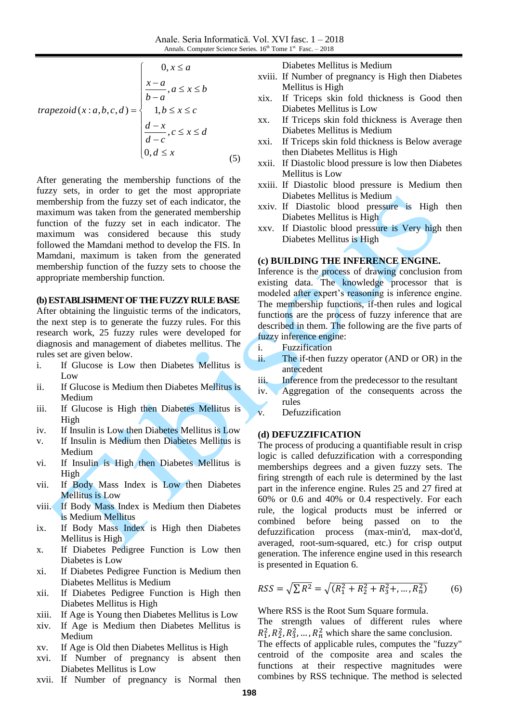$$
trapezoid(x:a,b,c,d) = \begin{cases} 0, x \le a \\ \frac{x-a}{b-a}, a \le x \le b \\ 1, b \le x \le c \\ \frac{d-x}{d-c}, c \le x \le d \\ 0, d \le x \end{cases}
$$
(5)

After generating the membership functions of the fuzzy sets, in order to get the most appropriate membership from the fuzzy set of each indicator, the maximum was taken from the generated membership function of the fuzzy set in each indicator. The maximum was considered because this study followed the Mamdani method to develop the FIS. In Mamdani, maximum is taken from the generated membership function of the fuzzy sets to choose the appropriate membership function.

#### **(b) ESTABLISHMENT OF THEFUZZY RULEBASE**

After obtaining the linguistic terms of the indicators, the next step is to generate the fuzzy rules. For this research work, 25 fuzzy rules were developed for diagnosis and management of diabetes mellitus. The rules set are given below.

- i. If Glucose is Low then Diabetes Mellitus is Low
- ii. If Glucose is Medium then Diabetes Mellitus is Medium
- iii. If Glucose is High then Diabetes Mellitus is High
- iv. If Insulin is Low then Diabetes Mellitus is Low
- v. If Insulin is Medium then Diabetes Mellitus is Medium
- vi. If Insulin is High then Diabetes Mellitus is High
- vii. If Body Mass Index is Low then Diabetes Mellitus is Low
- viii. If Body Mass Index is Medium then Diabetes is Medium Mellitus
- ix. If Body Mass Index is High then Diabetes Mellitus is High
- x. If Diabetes Pedigree Function is Low then Diabetes is Low
- xi. If Diabetes Pedigree Function is Medium then Diabetes Mellitus is Medium
- xii. If Diabetes Pedigree Function is High then Diabetes Mellitus is High
- xiii. If Age is Young then Diabetes Mellitus is Low
- xiv. If Age is Medium then Diabetes Mellitus is Medium
- xv. If Age is Old then Diabetes Mellitus is High
- xvi. If Number of pregnancy is absent then Diabetes Mellitus is Low
- xvii. If Number of pregnancy is Normal then

Diabetes Mellitus is Medium

- xviii. If Number of pregnancy is High then Diabetes Mellitus is High
- xix. If Triceps skin fold thickness is Good then Diabetes Mellitus is Low
- xx. If Triceps skin fold thickness is Average then Diabetes Mellitus is Medium
- xxi. If Triceps skin fold thickness is Below average then Diabetes Mellitus is High
- xxii. If Diastolic blood pressure is low then Diabetes Mellitus is Low
- xxiii. If Diastolic blood pressure is Medium then Diabetes Mellitus is Medium
- xxiv. If Diastolic blood pressure is High then Diabetes Mellitus is High
- xxv. If Diastolic blood pressure is Very high then Diabetes Mellitus is High

### **(c) BUILDING THE INFERENCE ENGINE.**

Inference is the process of drawing conclusion from existing data. The knowledge processor that is modeled after expert's reasoning is inference engine. The membership functions, if-then rules and logical functions are the process of fuzzy inference that are described in them. The following are the five parts of fuzzy inference engine:

- i. Fuzzification
- ii. The if-then fuzzy operator (AND or OR) in the antecedent
- iii. Inference from the predecessor to the resultant
- iv. Aggregation of the consequents across the rules
- v. Defuzzification

#### **(d) DEFUZZIFICATION**

The process of producing a quantifiable result in crisp logic is called defuzzification with a corresponding memberships degrees and a given fuzzy sets. The firing strength of each rule is determined by the last part in the inference engine. Rules 25 and 27 fired at 60% or 0.6 and 40% or 0.4 respectively. For each rule, the logical products must be inferred or combined before being passed on to the defuzzification process (max-min'd, max-dot'd, averaged, root-sum-squared, etc.) for crisp output generation. The inference engine used in this research is presented in Equation 6.

$$
RSS = \sqrt{\sum R^2} = \sqrt{(R_1^2 + R_2^2 + R_3^2 + \dots, R_n^2)}
$$
(6)

Where RSS is the Root Sum Square formula.

The strength values of different rules where  $R_1^2, R_2^2, R_3^2, \ldots, R_n^2$  which share the same conclusion.

The effects of applicable rules, computes the "fuzzy" centroid of the composite area and scales the functions at their respective magnitudes were combines by RSS technique. The method is selected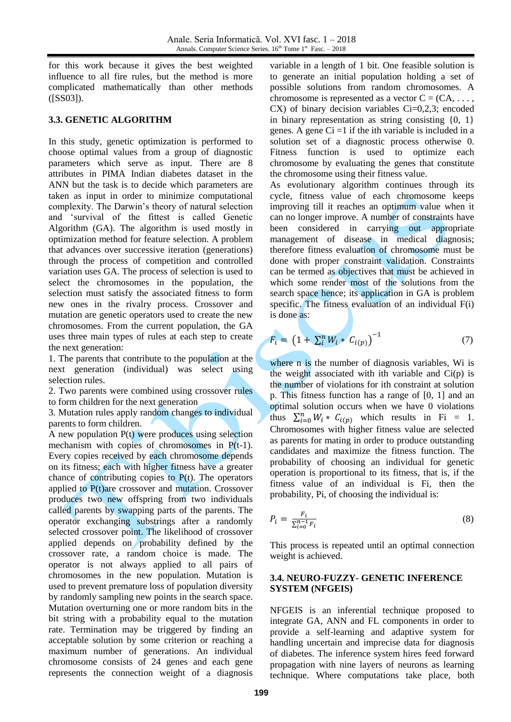for this work because it gives the best weighted influence to all fire rules, but the method is more complicated mathematically than other methods ([SS03]).

# **3.3. GENETIC ALGORITHM**

In this study, genetic optimization is performed to choose optimal values from a group of diagnostic parameters which serve as input. There are 8 attributes in PIMA Indian diabetes dataset in the ANN but the task is to decide which parameters are taken as input in order to minimize computational complexity. The Darwin's theory of natural selection and 'survival of the fittest is called Genetic Algorithm (GA). The algorithm is used mostly in optimization method for feature selection. A problem that advances over successive iteration (generations) through the process of competition and controlled variation uses GA. The process of selection is used to select the chromosomes in the population, the selection must satisfy the associated fitness to form new ones in the rivalry process. Crossover and mutation are genetic operators used to create the new chromosomes. From the current population, the GA uses three main types of rules at each step to create the next generation:

1. The parents that contribute to the population at the next generation (individual) was select using selection rules.

2. Two parents were combined using crossover rules to form children for the next generation

3. Mutation rules apply random changes to individual parents to form children.

A new population P(t) were produces using selection mechanism with copies of chromosomes in P(t-1). Every copies received by each chromosome depends on its fitness; each with higher fitness have a greater chance of contributing copies to  $P(t)$ . The operators applied to P(t)are crossover and mutation. Crossover produces two new offspring from two individuals called parents by swapping parts of the parents. The operator exchanging substrings after a randomly selected crossover point. The likelihood of crossover applied depends on probability defined by the crossover rate, a random choice is made. The operator is not always applied to all pairs of chromosomes in the new population. Mutation is used to prevent premature loss of population diversity by randomly sampling new points in the search space. Mutation overturning one or more random bits in the bit string with a probability equal to the mutation rate. Termination may be triggered by finding an acceptable solution by some criterion or reaching a maximum number of generations. An individual chromosome consists of 24 genes and each gene represents the connection weight of a diagnosis

variable in a length of 1 bit. One feasible solution is to generate an initial population holding a set of possible solutions from random chromosomes. A chromosome is represented as a vector  $C = (CA, \ldots,$ CX) of binary decision variables Ci=0,2,3; encoded in binary representation as string consisting  $\{0, 1\}$ genes. A gene  $Ci =1$  if the ith variable is included in a solution set of a diagnostic process otherwise 0. Fitness function is used to optimize each chromosome by evaluating the genes that constitute the chromosome using their fitness value.

As evolutionary algorithm continues through its cycle, fitness value of each chromosome keeps improving till it reaches an optimum value when it can no longer improve. A number of constraints have been considered in carrying out appropriate management of disease in medical diagnosis; therefore fitness evaluation of chromosome must be done with proper constraint validation. Constraints can be termed as objectives that must be achieved in which some render most of the solutions from the search space hence; its application in GA is problem specific. The fitness evaluation of an individual F(i) is done as:

$$
F_i = (1 + \sum_{i}^{n} W_i * C_{i(p)})^{-1}
$$
 (7)

where n is the number of diagnosis variables, Wi is the weight associated with ith variable and  $Ci(p)$  is the number of violations for ith constraint at solution p. This fitness function has a range of [0, 1] and an optimal solution occurs when we have 0 violations thus  $\sum_{i=0}^{n} W_i * C_{i(p)}$  which results in Fi = 1. Chromosomes with higher fitness value are selected as parents for mating in order to produce outstanding candidates and maximize the fitness function. The probability of choosing an individual for genetic operation is proportional to its fitness, that is, if the fitness value of an individual is Fi, then the probability, Pi, of choosing the individual is:

$$
P_i = \frac{F_i}{\sum_{i=0}^{n-1} F_i} \tag{8}
$$

This process is repeated until an optimal connection weight is achieved.

# **3.4. NEURO-FUZZY- GENETIC INFERENCE SYSTEM (NFGEIS)**

NFGEIS is an inferential technique proposed to integrate GA, ANN and FL components in order to provide a self-learning and adaptive system for handling uncertain and imprecise data for diagnosis of diabetes. The inference system hires feed forward propagation with nine layers of neurons as learning technique. Where computations take place, both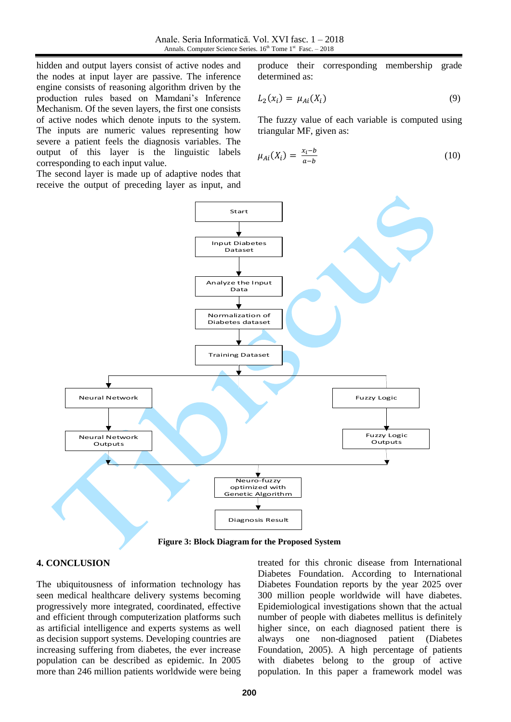hidden and output layers consist of active nodes and the nodes at input layer are passive. The inference engine consists of reasoning algorithm driven by the production rules based on Mamdani's Inference Mechanism. Of the seven layers, the first one consists of active nodes which denote inputs to the system. The inputs are numeric values representing how severe a patient feels the diagnosis variables. The output of this layer is the linguistic labels corresponding to each input value.

The second layer is made up of adaptive nodes that receive the output of preceding layer as input, and

produce their corresponding membership grade determined as:

$$
L_2(x_i) = \mu_{Ai}(X_i) \tag{9}
$$

The fuzzy value of each variable is computed using triangular MF, given as:

$$
\mu_{Ai}(X_i) = \frac{x_i - b}{a - b} \tag{10}
$$



**Figure 3: Block Diagram for the Proposed System**

### **4. CONCLUSION**

The ubiquitousness of information technology has seen medical healthcare delivery systems becoming progressively more integrated, coordinated, effective and efficient through computerization platforms such as artificial intelligence and experts systems as well as decision support systems. Developing countries are increasing suffering from diabetes, the ever increase population can be described as epidemic. In 2005 more than 246 million patients worldwide were being

treated for this chronic disease from International Diabetes Foundation. According to International Diabetes Foundation reports by the year 2025 over 300 million people worldwide will have diabetes. Epidemiological investigations shown that the actual number of people with diabetes mellitus is definitely higher since, on each diagnosed patient there is always one non-diagnosed patient (Diabetes Foundation, 2005). A high percentage of patients with diabetes belong to the group of active population. In this paper a framework model was